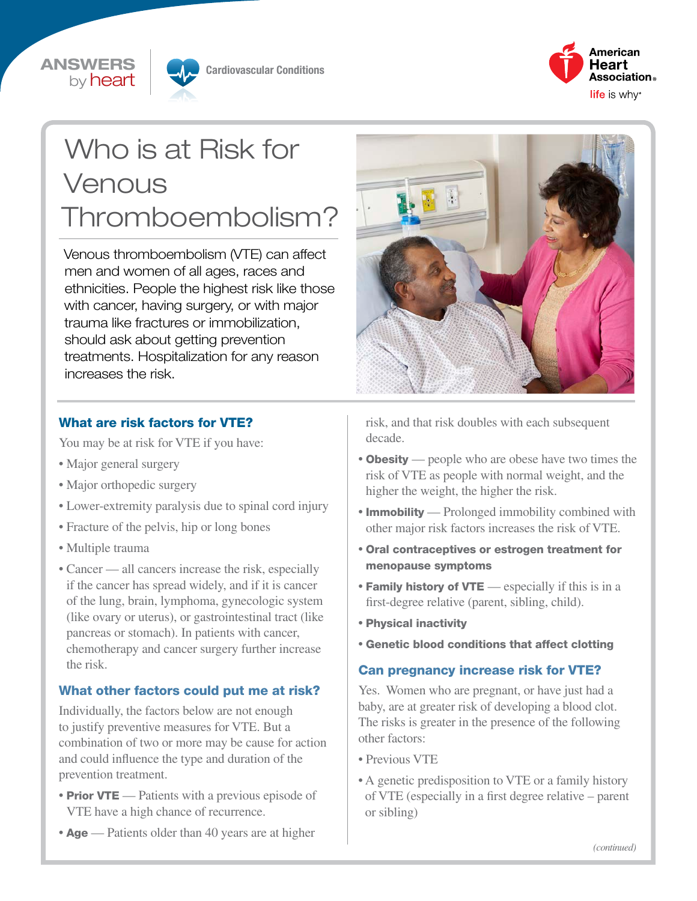## ANSWERS by **heart**



Cardiovascular Conditions



# Who is at Risk for Venous Thromboembolism?

Venous thromboembolism (VTE) can affect men and women of all ages, races and ethnicities. People the highest risk like those with cancer, having surgery, or with major trauma like fractures or immobilization, should ask about getting prevention treatments. Hospitalization for any reason increases the risk.

### What are risk factors for VTE?

You may be at risk for VTE if you have:

- Major general surgery
- Major orthopedic surgery
- Lower-extremity paralysis due to spinal cord injury
- Fracture of the pelvis, hip or long bones
- Multiple trauma
- Cancer all cancers increase the risk, especially if the cancer has spread widely, and if it is cancer of the lung, brain, lymphoma, gynecologic system (like ovary or uterus), or gastrointestinal tract (like pancreas or stomach). In patients with cancer, chemotherapy and cancer surgery further increase the risk.

#### What other factors could put me at risk?

Individually, the factors below are not enough to justify preventive measures for VTE. But a combination of two or more may be cause for action and could influence the type and duration of the prevention treatment.

- **Prior VTE** Patients with a previous episode of VTE have a high chance of recurrence.
- Age Patients older than 40 years are at higher



risk, and that risk doubles with each subsequent decade.

- **Obesity** people who are obese have two times the risk of VTE as people with normal weight, and the higher the weight, the higher the risk.
- **Immobility** Prolonged immobility combined with other major risk factors increases the risk of VTE.
- Oral contraceptives or estrogen treatment for menopause symptoms
- Family history of VTE especially if this is in a first-degree relative (parent, sibling, child).
- Physical inactivity
- Genetic blood conditions that affect clotting

#### Can pregnancy increase risk for VTE?

Yes. Women who are pregnant, or have just had a baby, are at greater risk of developing a blood clot. The risks is greater in the presence of the following other factors:

- Previous VTE
- A genetic predisposition to VTE or a family history of VTE (especially in a first degree relative – parent or sibling)